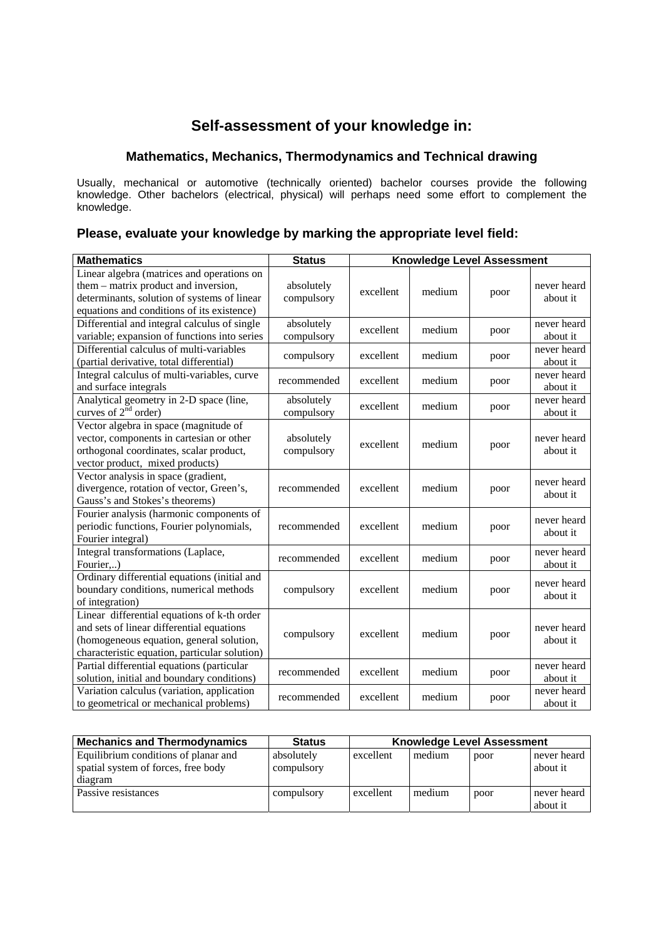## **Self-assessment of your knowledge in:**

## **Mathematics, Mechanics, Thermodynamics and Technical drawing**

Usually, mechanical or automotive (technically oriented) bachelor courses provide the following knowledge. Other bachelors (electrical, physical) will perhaps need some effort to complement the knowledge.

## **Please, evaluate your knowledge by marking the appropriate level field:**

| <b>Mathematics</b>                                                                                                                                                                    | <b>Status</b>            | <b>Knowledge Level Assessment</b> |        |      |                         |
|---------------------------------------------------------------------------------------------------------------------------------------------------------------------------------------|--------------------------|-----------------------------------|--------|------|-------------------------|
| Linear algebra (matrices and operations on<br>them – matrix product and inversion,<br>determinants, solution of systems of linear<br>equations and conditions of its existence)       | absolutely<br>compulsory | excellent                         | medium | poor | never heard<br>about it |
| Differential and integral calculus of single<br>variable; expansion of functions into series                                                                                          | absolutely<br>compulsory | excellent                         | medium | poor | never heard<br>about it |
| Differential calculus of multi-variables<br>(partial derivative, total differential)                                                                                                  | compulsory               | excellent                         | medium | poor | never heard<br>about it |
| Integral calculus of multi-variables, curve<br>and surface integrals                                                                                                                  | recommended              | excellent                         | medium | poor | never heard<br>about it |
| Analytical geometry in 2-D space (line,<br>curves of $2^{nd}$ order)                                                                                                                  | absolutely<br>compulsory | excellent                         | medium | poor | never heard<br>about it |
| Vector algebra in space (magnitude of<br>vector, components in cartesian or other<br>orthogonal coordinates, scalar product,<br>vector product, mixed products)                       | absolutely<br>compulsory | excellent                         | medium | poor | never heard<br>about it |
| Vector analysis in space (gradient,<br>divergence, rotation of vector, Green's,<br>Gauss's and Stokes's theorems)                                                                     | recommended              | excellent                         | medium | poor | never heard<br>about it |
| Fourier analysis (harmonic components of<br>periodic functions, Fourier polynomials,<br>Fourier integral)                                                                             | recommended              | excellent                         | medium | poor | never heard<br>about it |
| Integral transformations (Laplace,<br>Fourier,)                                                                                                                                       | recommended              | excellent                         | medium | poor | never heard<br>about it |
| Ordinary differential equations (initial and<br>boundary conditions, numerical methods<br>of integration)                                                                             | compulsory               | excellent                         | medium | poor | never heard<br>about it |
| Linear differential equations of k-th order<br>and sets of linear differential equations<br>(homogeneous equation, general solution,<br>characteristic equation, particular solution) | compulsory               | excellent                         | medium | poor | never heard<br>about it |
| Partial differential equations (particular<br>solution, initial and boundary conditions)                                                                                              | recommended              | excellent                         | medium | poor | never heard<br>about it |
| Variation calculus (variation, application<br>to geometrical or mechanical problems)                                                                                                  | recommended              | excellent                         | medium | poor | never heard<br>about it |

| <b>Mechanics and Thermodynamics</b>                                         | <b>Status</b>            | <b>Knowledge Level Assessment</b> |        |      |                         |
|-----------------------------------------------------------------------------|--------------------------|-----------------------------------|--------|------|-------------------------|
| Equilibrium conditions of planar and<br>spatial system of forces, free body | absolutely<br>compulsory | excellent                         | medium | poor | never heard<br>about it |
| diagram                                                                     |                          |                                   |        |      |                         |
| Passive resistances                                                         | compulsory               | excellent                         | medium | poor | never heard<br>about it |